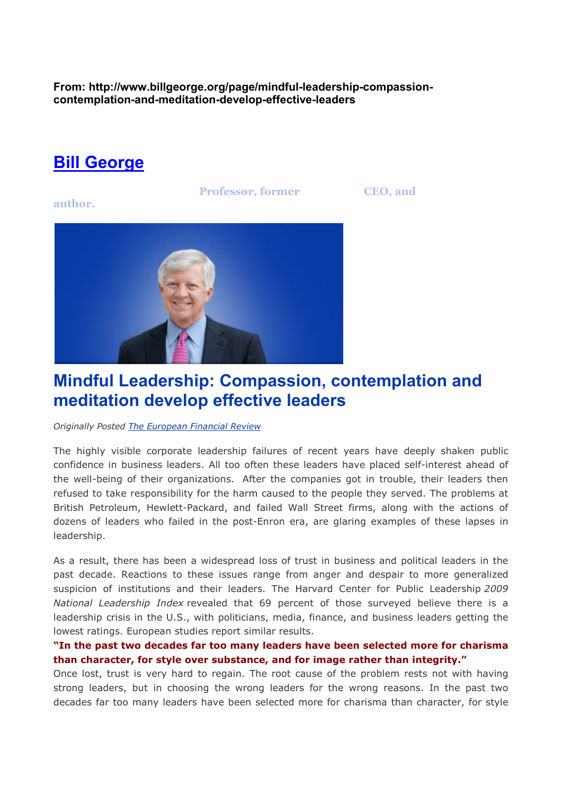**From: http://www.billgeorge.org/page/mindful-leadership-compassioncontemplation-and-meditation-develop-effective-leaders** 

## **Bill George**

**Professor, former** *CEO, and* 

**author.** 



# **Mindful Leadership: Compassion, contemplation and meditation develop effective leaders**

*Originally Posted The European Financial Review*

The highly visible corporate leadership failures of recent years have deeply shaken public confidence in business leaders. All too often these leaders have placed self-interest ahead of the well-being of their organizations. After the companies got in trouble, their leaders then refused to take responsibility for the harm caused to the people they served. The problems at British Petroleum, Hewlett-Packard, and failed Wall Street firms, along with the actions of dozens of leaders who failed in the post-Enron era, are glaring examples of these lapses in leadership.

As a result, there has been a widespread loss of trust in business and political leaders in the past decade. Reactions to these issues range from anger and despair to more generalized suspicion of institutions and their leaders. The Harvard Center for Public Leadership *2009 National Leadership Index* revealed that 69 percent of those surveyed believe there is a leadership crisis in the U.S., with politicians, media, finance, and business leaders getting the lowest ratings. European studies report similar results.

## **"In the past two decades far too many leaders have been selected more for charisma than character, for style over substance, and for image rather than integrity."**

Once lost, trust is very hard to regain. The root cause of the problem rests not with having strong leaders, but in choosing the wrong leaders for the wrong reasons. In the past two decades far too many leaders have been selected more for charisma than character, for style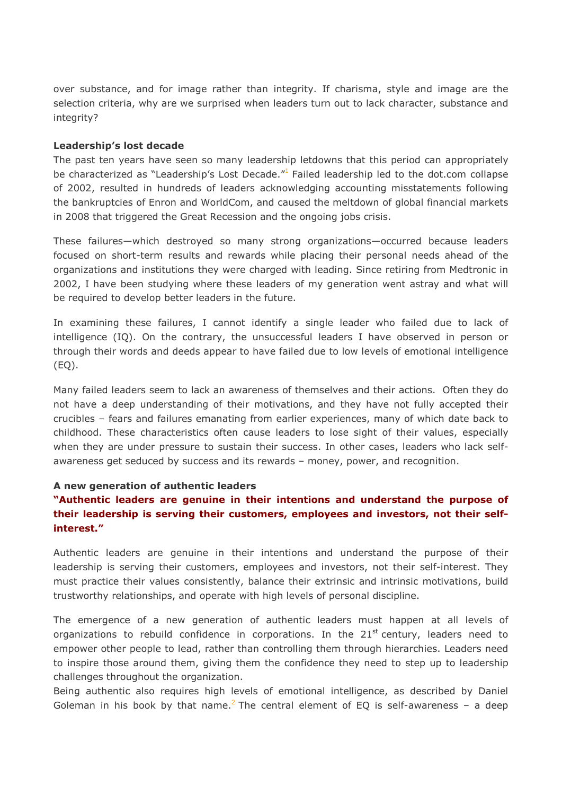over substance, and for image rather than integrity. If charisma, style and image are the selection criteria, why are we surprised when leaders turn out to lack character, substance and integrity?

#### **Leadership's lost decade**

The past ten years have seen so many leadership letdowns that this period can appropriately be characterized as "Leadership's Lost Decade."<sup>1</sup> Failed leadership led to the dot.com collapse of 2002, resulted in hundreds of leaders acknowledging accounting misstatements following the bankruptcies of Enron and WorldCom, and caused the meltdown of global financial markets in 2008 that triggered the Great Recession and the ongoing jobs crisis.

These failures—which destroyed so many strong organizations—occurred because leaders focused on short-term results and rewards while placing their personal needs ahead of the organizations and institutions they were charged with leading. Since retiring from Medtronic in 2002, I have been studying where these leaders of my generation went astray and what will be required to develop better leaders in the future.

In examining these failures, I cannot identify a single leader who failed due to lack of intelligence (IQ). On the contrary, the unsuccessful leaders I have observed in person or through their words and deeds appear to have failed due to low levels of emotional intelligence  $(EQ).$ 

Many failed leaders seem to lack an awareness of themselves and their actions. Often they do not have a deep understanding of their motivations, and they have not fully accepted their crucibles – fears and failures emanating from earlier experiences, many of which date back to childhood. These characteristics often cause leaders to lose sight of their values, especially when they are under pressure to sustain their success. In other cases, leaders who lack selfawareness get seduced by success and its rewards – money, power, and recognition.

#### **A new generation of authentic leaders**

## **"Authentic leaders are genuine in their intentions and understand the purpose of their leadership is serving their customers, employees and investors, not their selfinterest."**

Authentic leaders are genuine in their intentions and understand the purpose of their leadership is serving their customers, employees and investors, not their self-interest. They must practice their values consistently, balance their extrinsic and intrinsic motivations, build trustworthy relationships, and operate with high levels of personal discipline.

The emergence of a new generation of authentic leaders must happen at all levels of organizations to rebuild confidence in corporations. In the  $21<sup>st</sup>$  century, leaders need to empower other people to lead, rather than controlling them through hierarchies. Leaders need to inspire those around them, giving them the confidence they need to step up to leadership challenges throughout the organization.

Being authentic also requires high levels of emotional intelligence, as described by Daniel Goleman in his book by that name.<sup>2</sup> The central element of EQ is self-awareness - a deep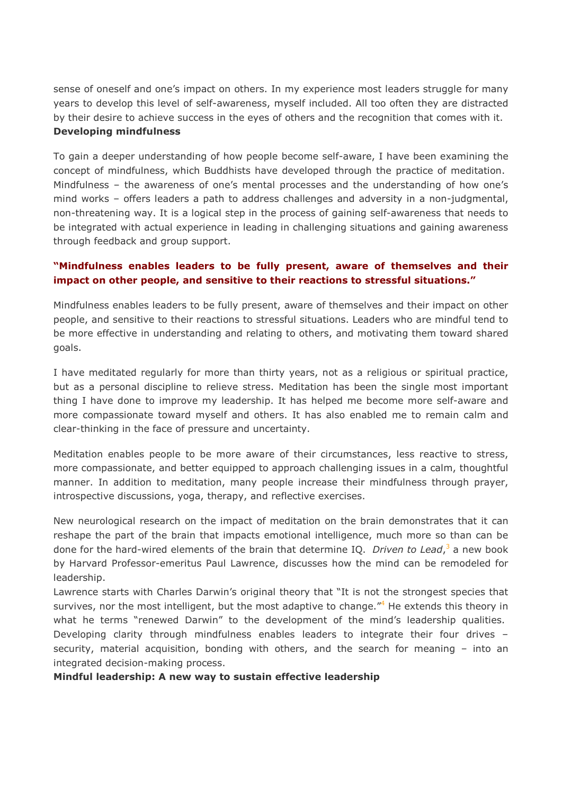sense of oneself and one's impact on others. In my experience most leaders struggle for many years to develop this level of self-awareness, myself included. All too often they are distracted by their desire to achieve success in the eyes of others and the recognition that comes with it. **Developing mindfulness**

To gain a deeper understanding of how people become self-aware, I have been examining the concept of mindfulness, which Buddhists have developed through the practice of meditation. Mindfulness – the awareness of one's mental processes and the understanding of how one's mind works – offers leaders a path to address challenges and adversity in a non-judgmental, non-threatening way. It is a logical step in the process of gaining self-awareness that needs to be integrated with actual experience in leading in challenging situations and gaining awareness through feedback and group support.

## **"Mindfulness enables leaders to be fully present, aware of themselves and their impact on other people, and sensitive to their reactions to stressful situations."**

Mindfulness enables leaders to be fully present, aware of themselves and their impact on other people, and sensitive to their reactions to stressful situations. Leaders who are mindful tend to be more effective in understanding and relating to others, and motivating them toward shared goals.

I have meditated regularly for more than thirty years, not as a religious or spiritual practice, but as a personal discipline to relieve stress. Meditation has been the single most important thing I have done to improve my leadership. It has helped me become more self-aware and more compassionate toward myself and others. It has also enabled me to remain calm and clear-thinking in the face of pressure and uncertainty.

Meditation enables people to be more aware of their circumstances, less reactive to stress, more compassionate, and better equipped to approach challenging issues in a calm, thoughtful manner. In addition to meditation, many people increase their mindfulness through prayer, introspective discussions, yoga, therapy, and reflective exercises.

New neurological research on the impact of meditation on the brain demonstrates that it can reshape the part of the brain that impacts emotional intelligence, much more so than can be done for the hard-wired elements of the brain that determine IQ. *Driven to Lead*,<sup>3</sup> a new book by Harvard Professor-emeritus Paul Lawrence, discusses how the mind can be remodeled for leadership.

Lawrence starts with Charles Darwin's original theory that "It is not the strongest species that survives, nor the most intelligent, but the most adaptive to change."<sup>4</sup> He extends this theory in what he terms "renewed Darwin" to the development of the mind's leadership qualities.

Developing clarity through mindfulness enables leaders to integrate their four drives – security, material acquisition, bonding with others, and the search for meaning – into an integrated decision-making process.

### **Mindful leadership: A new way to sustain effective leadership**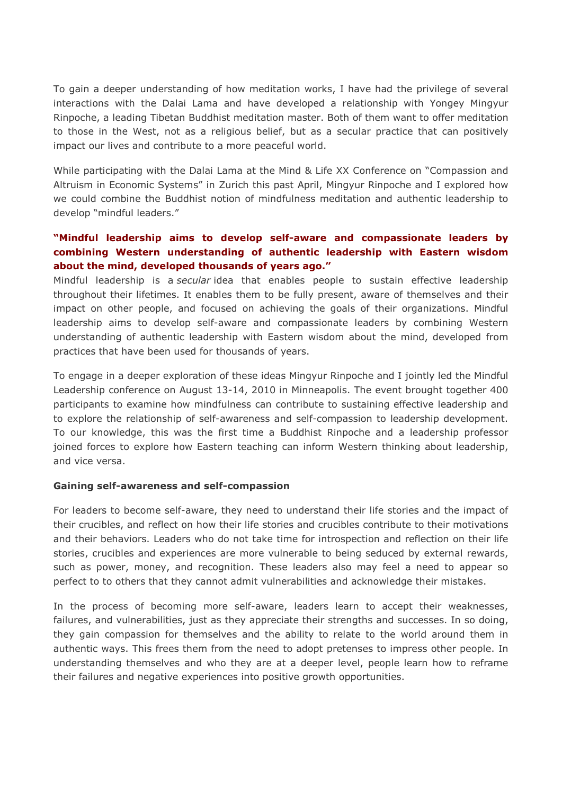To gain a deeper understanding of how meditation works, I have had the privilege of several interactions with the Dalai Lama and have developed a relationship with Yongey Mingyur Rinpoche, a leading Tibetan Buddhist meditation master. Both of them want to offer meditation to those in the West, not as a religious belief, but as a secular practice that can positively impact our lives and contribute to a more peaceful world.

While participating with the Dalai Lama at the Mind & Life XX Conference on "Compassion and Altruism in Economic Systems" in Zurich this past April, Mingyur Rinpoche and I explored how we could combine the Buddhist notion of mindfulness meditation and authentic leadership to develop "mindful leaders."

## **"Mindful leadership aims to develop self-aware and compassionate leaders by combining Western understanding of authentic leadership with Eastern wisdom about the mind, developed thousands of years ago."**

Mindful leadership is a *secular* idea that enables people to sustain effective leadership throughout their lifetimes. It enables them to be fully present, aware of themselves and their impact on other people, and focused on achieving the goals of their organizations. Mindful leadership aims to develop self-aware and compassionate leaders by combining Western understanding of authentic leadership with Eastern wisdom about the mind, developed from practices that have been used for thousands of years.

To engage in a deeper exploration of these ideas Mingyur Rinpoche and I jointly led the Mindful Leadership conference on August 13-14, 2010 in Minneapolis. The event brought together 400 participants to examine how mindfulness can contribute to sustaining effective leadership and to explore the relationship of self-awareness and self-compassion to leadership development. To our knowledge, this was the first time a Buddhist Rinpoche and a leadership professor joined forces to explore how Eastern teaching can inform Western thinking about leadership, and vice versa.

### **Gaining self-awareness and self-compassion**

For leaders to become self-aware, they need to understand their life stories and the impact of their crucibles, and reflect on how their life stories and crucibles contribute to their motivations and their behaviors. Leaders who do not take time for introspection and reflection on their life stories, crucibles and experiences are more vulnerable to being seduced by external rewards, such as power, money, and recognition. These leaders also may feel a need to appear so perfect to to others that they cannot admit vulnerabilities and acknowledge their mistakes.

In the process of becoming more self-aware, leaders learn to accept their weaknesses, failures, and vulnerabilities, just as they appreciate their strengths and successes. In so doing, they gain compassion for themselves and the ability to relate to the world around them in authentic ways. This frees them from the need to adopt pretenses to impress other people. In understanding themselves and who they are at a deeper level, people learn how to reframe their failures and negative experiences into positive growth opportunities.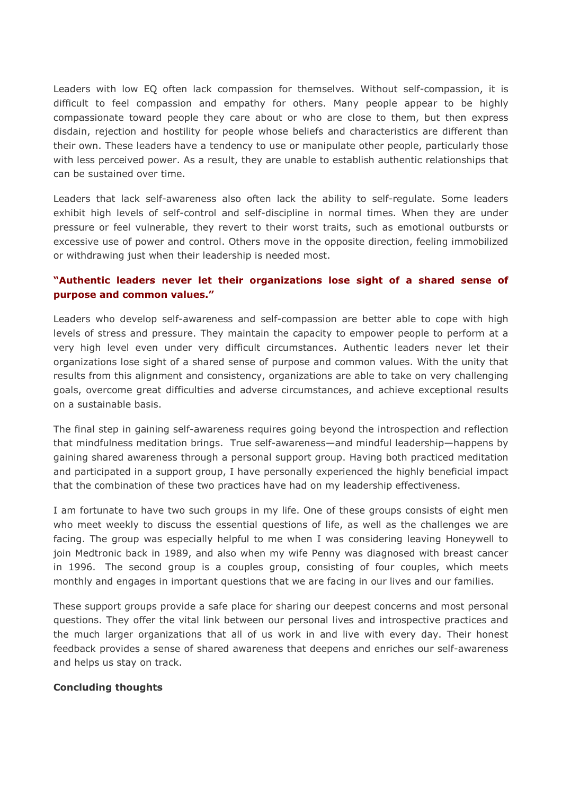Leaders with low EQ often lack compassion for themselves. Without self-compassion, it is difficult to feel compassion and empathy for others. Many people appear to be highly compassionate toward people they care about or who are close to them, but then express disdain, rejection and hostility for people whose beliefs and characteristics are different than their own. These leaders have a tendency to use or manipulate other people, particularly those with less perceived power. As a result, they are unable to establish authentic relationships that can be sustained over time.

Leaders that lack self-awareness also often lack the ability to self-regulate. Some leaders exhibit high levels of self-control and self-discipline in normal times. When they are under pressure or feel vulnerable, they revert to their worst traits, such as emotional outbursts or excessive use of power and control. Others move in the opposite direction, feeling immobilized or withdrawing just when their leadership is needed most.

## **"Authentic leaders never let their organizations lose sight of a shared sense of purpose and common values."**

Leaders who develop self-awareness and self-compassion are better able to cope with high levels of stress and pressure. They maintain the capacity to empower people to perform at a very high level even under very difficult circumstances. Authentic leaders never let their organizations lose sight of a shared sense of purpose and common values. With the unity that results from this alignment and consistency, organizations are able to take on very challenging goals, overcome great difficulties and adverse circumstances, and achieve exceptional results on a sustainable basis.

The final step in gaining self-awareness requires going beyond the introspection and reflection that mindfulness meditation brings. True self-awareness—and mindful leadership—happens by gaining shared awareness through a personal support group. Having both practiced meditation and participated in a support group, I have personally experienced the highly beneficial impact that the combination of these two practices have had on my leadership effectiveness.

I am fortunate to have two such groups in my life. One of these groups consists of eight men who meet weekly to discuss the essential questions of life, as well as the challenges we are facing. The group was especially helpful to me when I was considering leaving Honeywell to join Medtronic back in 1989, and also when my wife Penny was diagnosed with breast cancer in 1996. The second group is a couples group, consisting of four couples, which meets monthly and engages in important questions that we are facing in our lives and our families.

These support groups provide a safe place for sharing our deepest concerns and most personal questions. They offer the vital link between our personal lives and introspective practices and the much larger organizations that all of us work in and live with every day. Their honest feedback provides a sense of shared awareness that deepens and enriches our self-awareness and helps us stay on track.

### **Concluding thoughts**